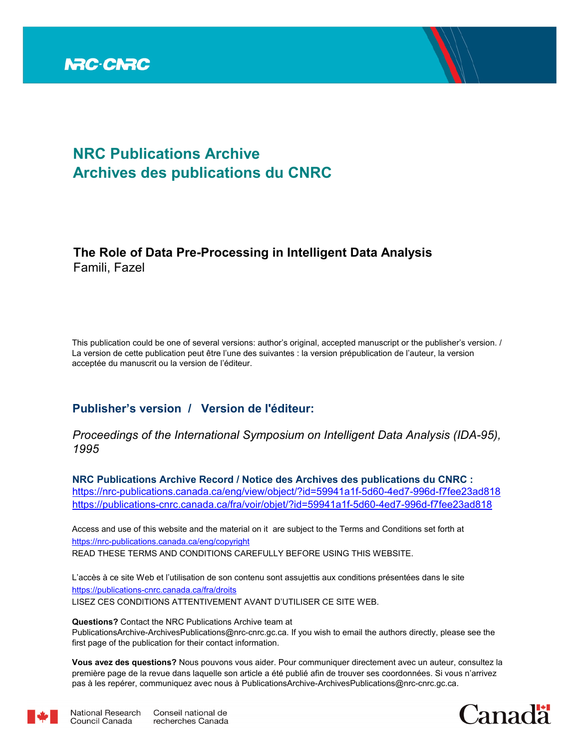

# **NRC Publications Archive Archives des publications du CNRC**

## **The Role of Data Pre-Processing in Intelligent Data Analysis** Famili, Fazel

This publication could be one of several versions: author's original, accepted manuscript or the publisher's version. / La version de cette publication peut être l'une des suivantes : la version prépublication de l'auteur, la version acceptée du manuscrit ou la version de l'éditeur.

### **Publisher's version / Version de l'éditeur:**

*Proceedings of the International Symposium on Intelligent Data Analysis (IDA-95), 1995*

**NRC Publications Archive Record / Notice des Archives des publications du CNRC :** https://nrc-publications.canada.ca/eng/view/object/?id=59941a1f-5d60-4ed7-996d-f7fee23ad818 https://publications-cnrc.canada.ca/fra/voir/objet/?id=59941a1f-5d60-4ed7-996d-f7fee23ad818

READ THESE TERMS AND CONDITIONS CAREFULLY BEFORE USING THIS WEBSITE. https://nrc-publications.canada.ca/eng/copyright Access and use of this website and the material on it are subject to the Terms and Conditions set forth at

https://publications-cnrc.canada.ca/fra/droits L'accès à ce site Web et l'utilisation de son contenu sont assujettis aux conditions présentées dans le site LISEZ CES CONDITIONS ATTENTIVEMENT AVANT D'UTILISER CE SITE WEB.

**Questions?** Contact the NRC Publications Archive team at PublicationsArchive-ArchivesPublications@nrc-cnrc.gc.ca. If you wish to email the authors directly, please see the first page of the publication for their contact information.

**Vous avez des questions?** Nous pouvons vous aider. Pour communiquer directement avec un auteur, consultez la première page de la revue dans laquelle son article a été publié afin de trouver ses coordonnées. Si vous n'arrivez pas à les repérer, communiquez avec nous à PublicationsArchive-ArchivesPublications@nrc-cnrc.gc.ca.



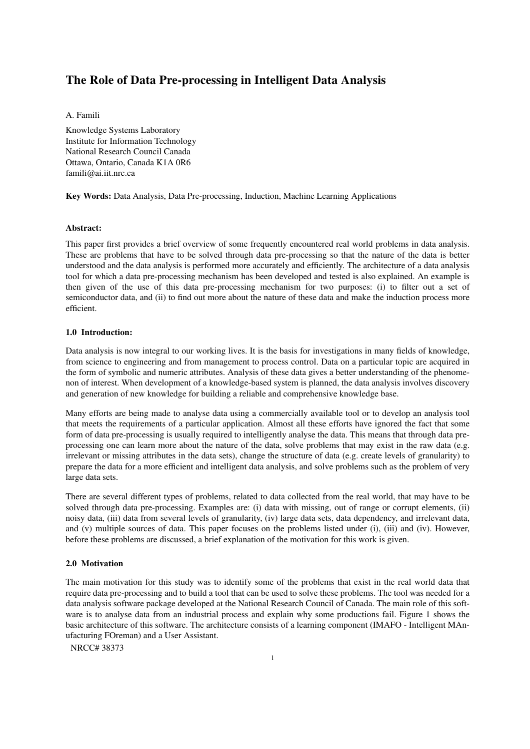### **The Role of Data Pre-processing in Intelligent Data Analysis**

A. Famili

Knowledge Systems Laboratory Institute for Information Technology National Research Council Canada Ottawa, Ontario, Canada K1A 0R6 famili@ai.iit.nrc.ca

**Key Words:** Data Analysis, Data Pre-processing, Induction, Machine Learning Applications

#### **Abstract:**

This paper first provides a brief overview of some frequently encountered real world problems in data analysis. These are problems that have to be solved through data pre-processing so that the nature of the data is better understood and the data analysis is performed more accurately and efficiently. The architecture of a data analysis tool for which a data pre-processing mechanism has been developed and tested is also explained. An example is then given of the use of this data pre-processing mechanism for two purposes: (i) to filter out a set of semiconductor data, and (ii) to find out more about the nature of these data and make the induction process more efficient.

#### **1.0 Introduction:**

Data analysis is now integral to our working lives. It is the basis for investigations in many fields of knowledge, from science to engineering and from management to process control. Data on a particular topic are acquired in the form of symbolic and numeric attributes. Analysis of these data gives a better understanding of the phenomenon of interest. When development of a knowledge-based system is planned, the data analysis involves discovery and generation of new knowledge for building a reliable and comprehensive knowledge base.

Many efforts are being made to analyse data using a commercially available tool or to develop an analysis tool that meets the requirements of a particular application. Almost all these efforts have ignored the fact that some form of data pre-processing is usually required to intelligently analyse the data. This means that through data preprocessing one can learn more about the nature of the data, solve problems that may exist in the raw data (e.g. irrelevant or missing attributes in the data sets), change the structure of data (e.g. create levels of granularity) to prepare the data for a more efficient and intelligent data analysis, and solve problems such as the problem of very large data sets.

There are several different types of problems, related to data collected from the real world, that may have to be solved through data pre-processing. Examples are: (i) data with missing, out of range or corrupt elements, (ii) noisy data, (iii) data from several levels of granularity, (iv) large data sets, data dependency, and irrelevant data, and (v) multiple sources of data. This paper focuses on the problems listed under (i), (iii) and (iv). However, before these problems are discussed, a brief explanation of the motivation for this work is given.

#### **2.0 Motivation**

The main motivation for this study was to identify some of the problems that exist in the real world data that require data pre-processing and to build a tool that can be used to solve these problems. The tool was needed for a data analysis software package developed at the National Research Council of Canada. The main role of this software is to analyse data from an industrial process and explain why some productions fail. Figure 1 shows the basic architecture of this software. The architecture consists of a learning component (IMAFO - Intelligent MAnufacturing FOreman) and a User Assistant.

NRCC# 38373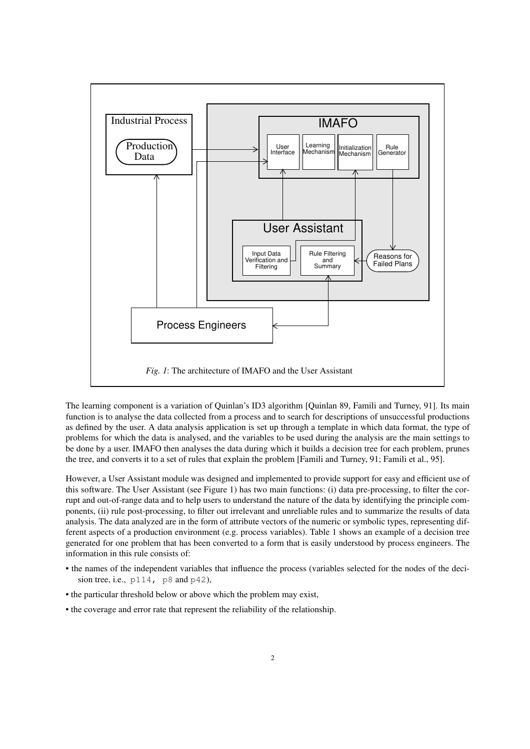

The learning component is a variation of Quinlan's ID3 algorithm [Quinlan 89, Famili and Turney, 91]. Its main function is to analyse the data collected from a process and to search for descriptions of unsuccessful productions as defined by the user. A data analysis application is set up through a template in which data format, the type of problems for which the data is analysed, and the variables to be used during the analysis are the main settings to be done by a user. IMAFO then analyses the data during which it builds a decision tree for each problem, prunes the tree, and converts it to a set of rules that explain the problem [Famili and Turney, 91; Famili et al., 95].

However, a User Assistant module was designed and implemented to provide support for easy and efficient use of this software. The User Assistant (see Figure 1) has two main functions: (i) data pre-processing, to filter the corrupt and out-of-range data and to help users to understand the nature of the data by identifying the principle components, (ii) rule post-processing, to filter out irrelevant and unreliable rules and to summarize the results of data analysis. The data analyzed are in the form of attribute vectors of the numeric or symbolic types, representing different aspects of a production environment (e.g. process variables). Table 1 shows an example of a decision tree generated for one problem that has been converted to a form that is easily understood by process engineers. The information in this rule consists of:

- the names of the independent variables that influence the process (variables selected for the nodes of the decision tree, i.e.,  $p114$ ,  $p8$  and  $p42$ ),
- the particular threshold below or above which the problem may exist,
- the coverage and error rate that represent the reliability of the relationship.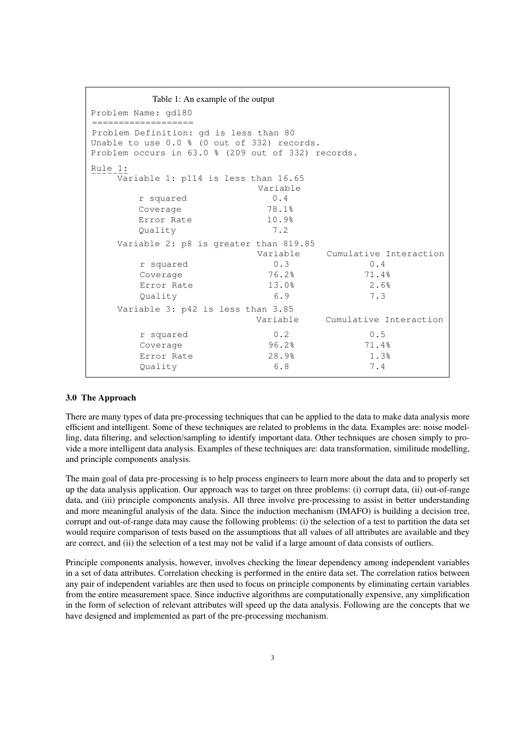```
Table 1: An example of the output
Problem Name: gdl80
===================
Problem Definition: gd is less than 80
Unable to use 0.0 % (0 out of 332) records.
Problem occurs in 63.0 % (209 out of 332) records.
Rule 1:
   ...<br>Variable 1: p114 is less than 16.65
                       Variable
       r squared 0.4
      Coverage 78.1%
      Error Rate 10.9%
       Quality 7.2
    Variable 2: p8 is greater than 819.85
                       Variable Cumulative Interaction
       r squared 0.3 0.4
      Coverage 76.2% 71.4%
      Error Rate 13.0% 2.6%
       Quality 6.9 7.3
    Variable 3: p42 is less than 3.85
                      Variable Cumulative Interaction
       r squared 0.2 0.5
      Coverage 96.2% 71.4%
      Error Rate 28.9% 1.3%
       Quality 6.8 7.4
```
#### **3.0 The Approach**

There are many types of data pre-processing techniques that can be applied to the data to make data analysis more efficient and intelligent. Some of these techniques are related to problems in the data. Examples are: noise modelling, data filtering, and selection/sampling to identify important data. Other techniques are chosen simply to provide a more intelligent data analysis. Examples of these techniques are: data transformation, similitude modelling, and principle components analysis.

The main goal of data pre-processing is to help process engineers to learn more about the data and to properly set up the data analysis application. Our approach was to target on three problems: (i) corrupt data, (ii) out-of-range data, and (iii) principle components analysis. All three involve pre-processing to assist in better understanding and more meaningful analysis of the data. Since the induction mechanism (IMAFO) is building a decision tree, corrupt and out-of-range data may cause the following problems: (i) the selection of a test to partition the data set would require comparison of tests based on the assumptions that all values of all attributes are available and they are correct, and (ii) the selection of a test may not be valid if a large amount of data consists of outliers.

Principle components analysis, however, involves checking the linear dependency among independent variables in a set of data attributes. Correlation checking is performed in the entire data set. The correlation ratios between any pair of independent variables are then used to focus on principle components by eliminating certain variables from the entire measurement space. Since inductive algorithms are computationally expensive, any simplification in the form of selection of relevant attributes will speed up the data analysis. Following are the concepts that we have designed and implemented as part of the pre-processing mechanism.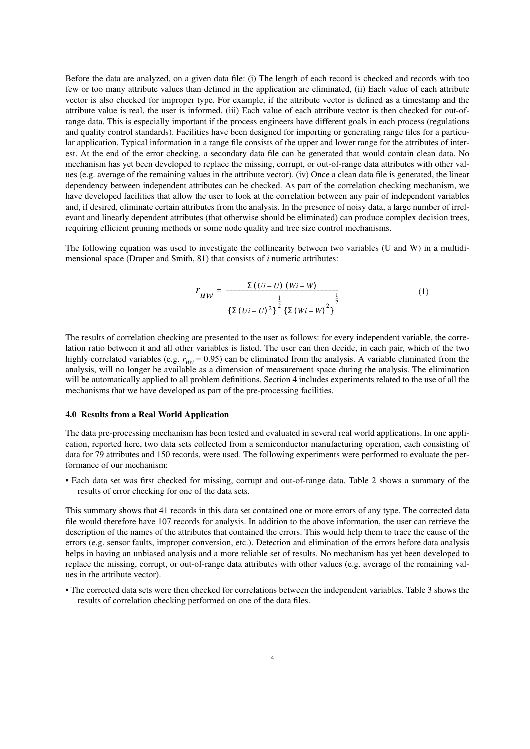Before the data are analyzed, on a given data file: (i) The length of each record is checked and records with too few or too many attribute values than defined in the application are eliminated, (ii) Each value of each attribute vector is also checked for improper type. For example, if the attribute vector is defined as a timestamp and the attribute value is real, the user is informed. (iii) Each value of each attribute vector is then checked for out-ofrange data. This is especially important if the process engineers have different goals in each process (regulations and quality control standards). Facilities have been designed for importing or generating range files for a particular application. Typical information in a range file consists of the upper and lower range for the attributes of interest. At the end of the error checking, a secondary data file can be generated that would contain clean data. No mechanism has yet been developed to replace the missing, corrupt, or out-of-range data attributes with other values (e.g. average of the remaining values in the attribute vector). (iv) Once a clean data file is generated, the linear dependency between independent attributes can be checked. As part of the correlation checking mechanism, we have developed facilities that allow the user to look at the correlation between any pair of independent variables and, if desired, eliminate certain attributes from the analysis. In the presence of noisy data, a large number of irrelevant and linearly dependent attributes (that otherwise should be eliminated) can produce complex decision trees, requiring efficient pruning methods or some node quality and tree size control mechanisms.

The following equation was used to investigate the collinearity between two variables (U and W) in a multidimensional space (Draper and Smith, 81) that consists of *i* numeric attributes:

$$
r_{UW} = \frac{\Sigma (Ui - U) (Wi - W)}{\left\{ \Sigma (Ui - U)^2 \right\}^{\frac{1}{2}} \left\{ \Sigma (Wi - W)^2 \right\}^{\frac{1}{2}}}
$$
(1)

The results of correlation checking are presented to the user as follows: for every independent variable, the correlation ratio between it and all other variables is listed. The user can then decide, in each pair, which of the two highly correlated variables (e.g.  $r_{uw}$  = 0.95) can be eliminated from the analysis. A variable eliminated from the analysis, will no longer be available as a dimension of measurement space during the analysis. The elimination will be automatically applied to all problem definitions. Section 4 includes experiments related to the use of all the mechanisms that we have developed as part of the pre-processing facilities.

#### **4.0 Results from a Real World Application**

The data pre-processing mechanism has been tested and evaluated in several real world applications. In one application, reported here, two data sets collected from a semiconductor manufacturing operation, each consisting of data for 79 attributes and 150 records, were used. The following experiments were performed to evaluate the performance of our mechanism:

• Each data set was first checked for missing, corrupt and out-of-range data. Table 2 shows a summary of the results of error checking for one of the data sets.

This summary shows that 41 records in this data set contained one or more errors of any type. The corrected data file would therefore have 107 records for analysis. In addition to the above information, the user can retrieve the description of the names of the attributes that contained the errors. This would help them to trace the cause of the errors (e.g. sensor faults, improper conversion, etc.). Detection and elimination of the errors before data analysis helps in having an unbiased analysis and a more reliable set of results. No mechanism has yet been developed to replace the missing, corrupt, or out-of-range data attributes with other values (e.g. average of the remaining values in the attribute vector).

• The corrected data sets were then checked for correlations between the independent variables. Table 3 shows the results of correlation checking performed on one of the data files.